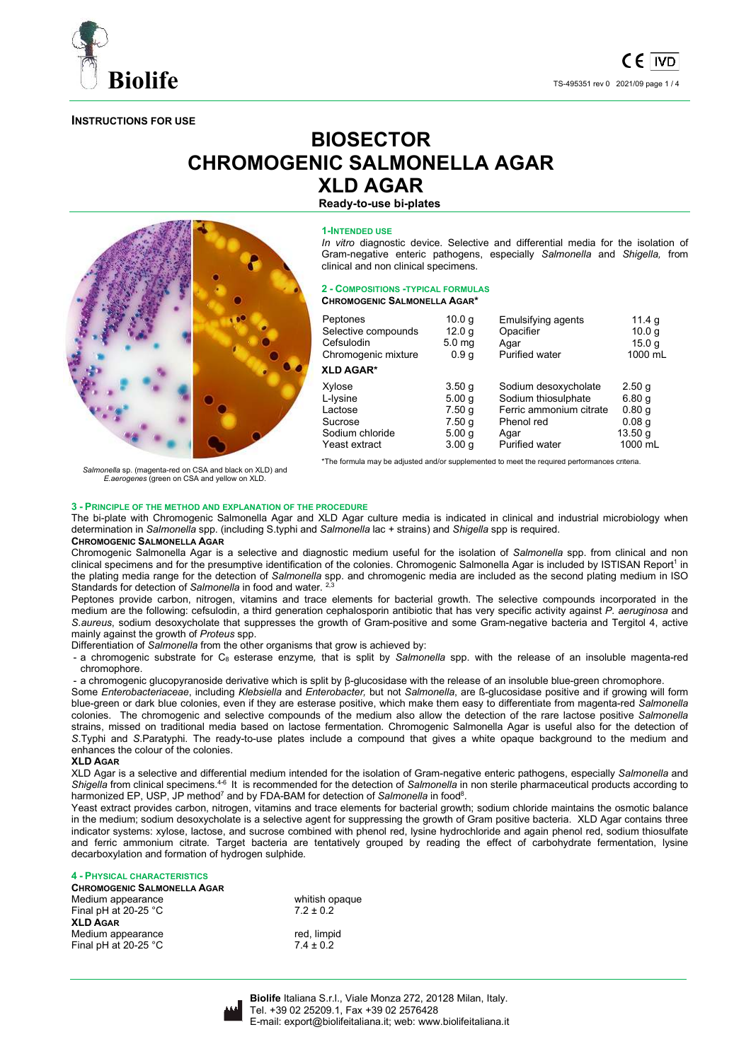

**INSTRUCTIONS FOR USE** 

# **BIOSECTOR CHROMOGENIC SALMONELLA AGAR XLD AGAR**

**Ready-to-use bi-plates** 



**1-INTENDED USE**

*In vitro* diagnostic device. Selective and differential media for the isolation of Gram-negative enteric pathogens, especially *Salmonella* and *Shigella,* from clinical and non clinical specimens.

#### **2 - COMPOSITIONS -TYPICAL FORMULAS CHROMOGENIC SALMONELLA AGAR\***

| Peptones            | 10.0 <sub>q</sub> | <b>Emulsifying agents</b> | 11.4 g            |
|---------------------|-------------------|---------------------------|-------------------|
| Selective compounds | 12.0 <sub>q</sub> | Opacifier                 | 10.0 <sub>q</sub> |
| Cefsulodin          | 5.0 <sub>mg</sub> | Agar                      | 15.0 <sub>q</sub> |
| Chromogenic mixture | 0.9 <sub>q</sub>  | Purified water            | 1000 mL           |
| <b>XLD AGAR*</b>    |                   |                           |                   |
| Xylose              | 3.50 <sub>g</sub> | Sodium desoxycholate      | 2.50 g            |
| L-Iysine            | 5.00q             | Sodium thiosulphate       | 6.80q             |
| Lactose             | 7.50q             | Ferric ammonium citrate   | 0.80q             |
| Sucrose             | 7.50q             | Phenol red                | 0.08 <sub>q</sub> |
| Sodium chloride     | 5.00q             | Agar                      | 13.50q            |
| Yeast extract       | 3.00 <sub>q</sub> | <b>Purified water</b>     | 1000 mL           |
|                     |                   |                           |                   |

*Salmonella* sp. (magenta-red on CSA and black on XLD) and *E.aerogenes* (green on CSA and yellow on XLD.

\*The formula may be adjusted and/or supplemented to meet the required performances criteria.

# **3 - PRINCIPLE OF THE METHOD AND EXPLANATION OF THE PROCEDURE**

The bi-plate with Chromogenic Salmonella Agar and XLD Agar culture media is indicated in clinical and industrial microbiology when determination in *Salmonella* spp. (including S.typhi and *Salmonella* lac + strains) and *Shigella* spp is required.

# **CHROMOGENIC SALMONELLA AGAR**

Chromogenic Salmonella Agar is a selective and diagnostic medium useful for the isolation of *Salmonella* spp. from clinical and non clinical specimens and for the presumptive identification of the colonies. Chromogenic Salmonella Agar is included by ISTISAN Report<sup>1</sup> in the plating media range for the detection of *Salmonella* spp. and chromogenic media are included as the second plating medium in ISO Standards for detection of *Salmonella* in food and water.<sup>2,3</sup>

Peptones provide carbon, nitrogen, vitamins and trace elements for bacterial growth. The selective compounds incorporated in the medium are the following: cefsulodin, a third generation cephalosporin antibiotic that has very specific activity against *P. aeruginosa* and *S.aureus*, sodium desoxycholate that suppresses the growth of Gram-positive and some Gram-negative bacteria and Tergitol 4, active mainly against the growth of *Proteus* spp.

Differentiation of *Salmonella* from the other organisms that grow is achieved by:

- a chromogenic substrate for C8 esterase enzyme*,* that is split by *Salmonella* spp. with the release of an insoluble magenta-red chromophore.

- a chromogenic glucopyranoside derivative which is split by β-glucosidase with the release of an insoluble blue-green chromophore.

Some *Enterobacteriaceae*, including *Klebsiella* and *Enterobacter,* but not *Salmonella*, are ß-glucosidase positive and if growing will form blue-green or dark blue colonies, even if they are esterase positive, which make them easy to differentiate from magenta-red *Salmonella* colonies. The chromogenic and selective compounds of the medium also allow the detection of the rare lactose positive *Salmonella*  strains, missed on traditional media based on lactose fermentation. Chromogenic Salmonella Agar is useful also for the detection of *S*.Typhi and *S*.Paratyphi. The ready-to-use plates include a compound that gives a white opaque background to the medium and enhances the colour of the colonies.

# **XLD AGAR**

XLD Agar is a selective and differential medium intended for the isolation of Gram-negative enteric pathogens, especially *Salmonella* and *Shigella* from clinical specimens.4-6 It is recommended for the detection of *Salmonella* in non sterile pharmaceutical products according to harmonized EP, USP, JP method<sup>7</sup> and by FDA-BAM for detection of *Salmonella* in food<sup>8</sup>.

Yeast extract provides carbon, nitrogen, vitamins and trace elements for bacterial growth; sodium chloride maintains the osmotic balance in the medium; sodium desoxycholate is a selective agent for suppressing the growth of Gram positive bacteria. XLD Agar contains three indicator systems: xylose, lactose, and sucrose combined with phenol red, lysine hydrochloride and again phenol red, sodium thiosulfate and ferric ammonium citrate. Target bacteria are tentatively grouped by reading the effect of carbohydrate fermentation, lysine decarboxylation and formation of hydrogen sulphide.

# **4 - PHYSICAL CHARACTERISTICS**

| <b>CHROMOGENIC SALMONELLA AGAR</b> |                |
|------------------------------------|----------------|
| Medium appearance                  | whitish opaque |
| Final pH at 20-25 $^{\circ}$ C     | $7.2 \pm 0.2$  |
| <b>XLD AGAR</b>                    |                |
| Medium appearance                  | red, limpid    |
| Final pH at $20-25$ °C             | $7.4 \pm 0.2$  |

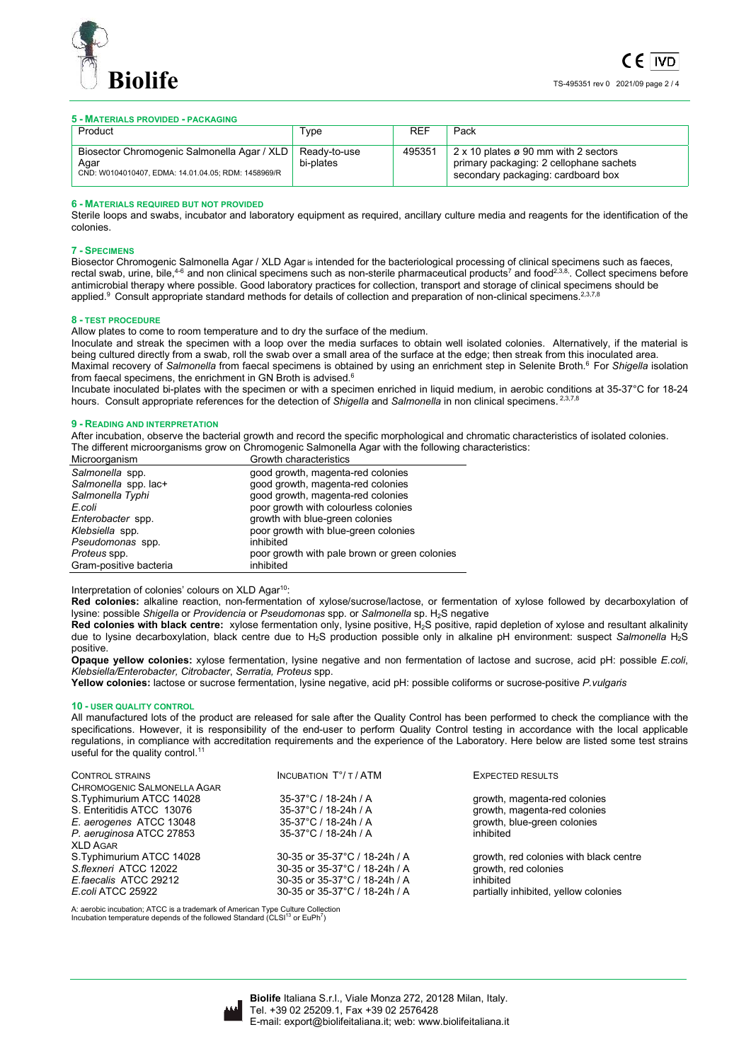

# **5 - MATERIALS PROVIDED - PACKAGING**

| Product                                                                                                    | Type                      | <b>REF</b> | Pack                                                                                                                  |
|------------------------------------------------------------------------------------------------------------|---------------------------|------------|-----------------------------------------------------------------------------------------------------------------------|
| Biosector Chromogenic Salmonella Agar / XLD<br>Agar<br>CND: W0104010407, EDMA: 14.01.04.05; RDM: 1458969/R | Readv-to-use<br>bi-plates | 495351     | 2 x 10 plates ø 90 mm with 2 sectors<br>primary packaging: 2 cellophane sachets<br>secondary packaging: cardboard box |

### **6 - MATERIALS REQUIRED BUT NOT PROVIDED**

Sterile loops and swabs, incubator and laboratory equipment as required, ancillary culture media and reagents for the identification of the colonies.

## **7 - SPECIMENS**

Biosector Chromogenic Salmonella Agar / XLD Agar is intended for the bacteriological processing of clinical specimens such as faeces, rectal swab, urine, bile, $^{4\,6}$  and non clinical specimens such as non-sterile pharmaceutical products<sup>7</sup> and food $^{2,3,8}$ . Collect specimens before antimicrobial therapy where possible. Good laboratory practices for collection, transport and storage of clinical specimens should be applied.<sup>9</sup> Consult appropriate standard methods for details of collection and preparation of non-clinical specimens.<sup>2,3,7,8</sup>

## **8 - TEST PROCEDURE**

Allow plates to come to room temperature and to dry the surface of the medium.

Inoculate and streak the specimen with a loop over the media surfaces to obtain well isolated colonies. Alternatively, if the material is being cultured directly from a swab, roll the swab over a small area of the surface at the edge; then streak from this inoculated area. Maximal recovery of Salmonella from faecal specimens is obtained by using an enrichment step in Selenite Broth.<sup>6</sup> For *Shigella* isolation from faecal specimens, the enrichment in GN Broth is advised.<sup>6</sup>

Incubate inoculated bi-plates with the specimen or with a specimen enriched in liquid medium, in aerobic conditions at 35-37°C for 18-24 hours. Consult appropriate references for the detection of *Shigella* and *Salmonella* in non clinical specimens. 2,3,7,8

## **9 - READING AND INTERPRETATION**

After incubation, observe the bacterial growth and record the specific morphological and chromatic characteristics of isolated colonies. The different microorganisms grow on Chromogenic Salmonella Agar with the following characteristics:

| Microorganism          | Growth characteristics                        |
|------------------------|-----------------------------------------------|
| Salmonella spp.        | good growth, magenta-red colonies             |
| Salmonella spp. lac+   | good growth, magenta-red colonies             |
| Salmonella Typhi       | good growth, magenta-red colonies             |
| E.coli                 | poor growth with colourless colonies          |
| Enterobacter spp.      | growth with blue-green colonies               |
| Klebsiella spp.        | poor growth with blue-green colonies          |
| Pseudomonas spp.       | inhibited                                     |
| Proteus spp.           | poor growth with pale brown or green colonies |
| Gram-positive bacteria | inhibited                                     |

Interpretation of colonies' colours on XLD Agar<sup>10</sup>:

**Red colonies:** alkaline reaction, non-fermentation of xylose/sucrose/lactose, or fermentation of xylose followed by decarboxylation of lysine: possible *Shigella* or *Providencia* or *Pseudomonas* spp. or *Salmonella* sp. H<sub>2</sub>S negative

Red colonies with black centre: xylose fermentation only, lysine positive, H<sub>2</sub>S positive, rapid depletion of xylose and resultant alkalinity due to lysine decarboxylation, black centre due to H2S production possible only in alkaline pH environment: suspect *Salmonella* H2S positive.

**Opaque yellow colonies:** xylose fermentation, lysine negative and non fermentation of lactose and sucrose, acid pH: possible *E.coli*, *Klebsiella/Enterobacter, Citrobacter*, *Serratia, Proteus* spp.

**Yellow colonies:** lactose or sucrose fermentation, lysine negative, acid pH: possible coliforms or sucrose-positive *P.vulgaris*

#### **10 - USER QUALITY CONTROL**

All manufactured lots of the product are released for sale after the Quality Control has been performed to check the compliance with the specifications. However, it is responsibility of the end-user to perform Quality Control testing in accordance with the local applicable regulations, in compliance with accreditation requirements and the experience of the Laboratory. Here below are listed some test strains useful for the quality control.<sup>11</sup>

| <b>CONTROL STRAINS</b>      | <b>INCUBATION T°/T/ATM</b>    | <b>EXPECTED RESULTS</b>                |
|-----------------------------|-------------------------------|----------------------------------------|
| CHROMOGENIC SALMONELLA AGAR |                               |                                        |
| S.Typhimurium ATCC 14028    | 35-37°C / 18-24h / A          | growth, magenta-red colonies           |
| S. Enteritidis ATCC 13076   | 35-37°C / 18-24h / A          | growth, magenta-red colonies           |
| E. aerogenes ATCC 13048     | 35-37°C / 18-24h / A          | growth, blue-green colonies            |
| P. aeruginosa ATCC 27853    | 35-37°C / 18-24h / A          | inhibited                              |
| <b>XLD AGAR</b>             |                               |                                        |
| S.Typhimurium ATCC 14028    | 30-35 or 35-37°C / 18-24h / A | growth, red colonies with black centre |
| S.flexneri ATCC 12022       | 30-35 or 35-37°C / 18-24h / A | growth, red colonies                   |
| E.faecalis ATCC 29212       | 30-35 or 35-37°C / 18-24h / A | inhibited                              |
| E.coli ATCC 25922           | 30-35 or 35-37°C / 18-24h / A | partially inhibited, yellow colonies   |
|                             |                               |                                        |

A: aerobic incubation; ATCC is a trademark of American Type Culture Collection<br>Incubation temperature depends of the followed Standard (CLSI<sup>13</sup> or EuPh<sup>7</sup>)

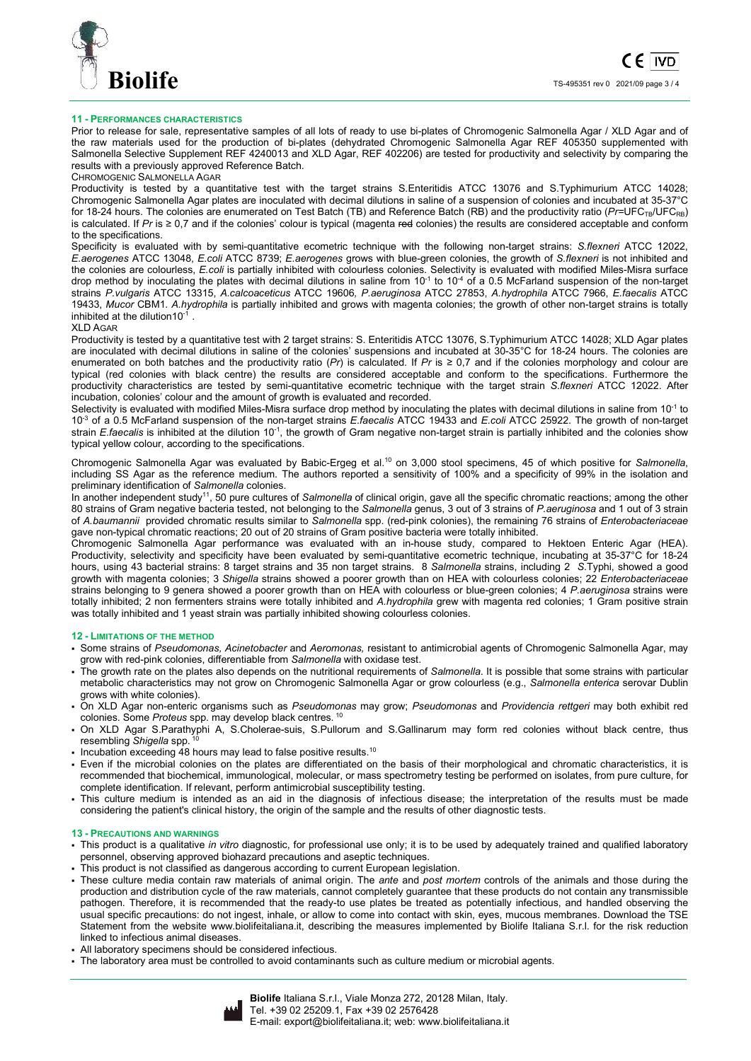

# **11 - PERFORMANCES CHARACTERISTICS**

Prior to release for sale, representative samples of all lots of ready to use bi-plates of Chromogenic Salmonella Agar / XLD Agar and of the raw materials used for the production of bi-plates (dehydrated Chromogenic Salmonella Agar REF 405350 supplemented with Salmonella Selective Supplement REF 4240013 and XLD Agar, REF 402206) are tested for productivity and selectivity by comparing the results with a previously approved Reference Batch.

# CHROMOGENIC SALMONELLA AGAR

Productivity is tested by a quantitative test with the target strains S.Enteritidis ATCC 13076 and S.Typhimurium ATCC 14028; Chromogenic Salmonella Agar plates are inoculated with decimal dilutions in saline of a suspension of colonies and incubated at 35-37°C for 18-24 hours. The colonies are enumerated on Test Batch (TB) and Reference Batch (RB) and the productivity ratio (Pr=UFC<sub>TB</sub>/UFC<sub>RB</sub>) is calculated. If *Pr* is ≥ 0,7 and if the colonies' colour is typical (magenta red colonies) the results are considered acceptable and conform to the specifications.

Specificity is evaluated with by semi-quantitative ecometric technique with the following non-target strains: *S.flexneri* ATCC 12022, *E.aerogenes* ATCC 13048, *E.coli* ATCC 8739; *E.aerogenes* grows with blue-green colonies, the growth of *S.flexneri* is not inhibited and the colonies are colourless, *E.coli* is partially inhibited with colourless colonies. Selectivity is evaluated with modified Miles-Misra surface drop method by inoculating the plates with decimal dilutions in saline from  $10^{-1}$  to  $10^{-4}$  of a 0.5 McFarland suspension of the non-target strains *P.vulgaris* ATCC 13315, *A.calcoaceticus* ATCC 19606*, P.aeruginosa* ATCC 27853, *A.hydrophila* ATCC 7966, *E.faecalis* ATCC 19433, *Mucor* CBM1. *A.hydrophila* is partially inhibited and grows with magenta colonies; the growth of other non-target strains is totally inhibited at the dilution10-1 .

# XLD AGAR

Productivity is tested by a quantitative test with 2 target strains: S. Enteritidis ATCC 13076, S.Typhimurium ATCC 14028; XLD Agar plates are inoculated with decimal dilutions in saline of the colonies' suspensions and incubated at 30-35°C for 18-24 hours. The colonies are enumerated on both batches and the productivity ratio (*Pr*) is calculated. If *Pr* is ≥ 0,7 and if the colonies morphology and colour are typical (red colonies with black centre) the results are considered acceptable and conform to the specifications. Furthermore the productivity characteristics are tested by semi-quantitative ecometric technique with the target strain *S.flexneri* ATCC 12022. After incubation, colonies' colour and the amount of growth is evaluated and recorded.

Selectivity is evaluated with modified Miles-Misra surface drop method by inoculating the plates with decimal dilutions in saline from 10<sup>-1</sup> to 10-3 of a 0.5 McFarland suspension of the non-target strains *E.faecalis* ATCC 19433 and *E.coli* ATCC 25922. The growth of non-target strain *E.faecalis* is inhibited at the dilution 10-1, the growth of Gram negative non-target strain is partially inhibited and the colonies show typical yellow colour, according to the specifications.

Chromogenic Salmonella Agar was evaluated by Babic-Ergeg et al.<sup>10</sup> on 3,000 stool specimens, 45 of which positive for *Salmonella*, including SS Agar as the reference medium. The authors reported a sensitivity of 100% and a specificity of 99% in the isolation and preliminary identification of *Salmonella* colonies.

In another independent study<sup>11</sup>, 50 pure cultures of *Salmonella* of clinical origin, gave all the specific chromatic reactions; among the other 80 strains of Gram negative bacteria tested, not belonging to the *Salmonella* genus, 3 out of 3 strains of *P.aeruginosa* and 1 out of 3 strain of *A.baumannii* provided chromatic results similar to *Salmonella* spp. (red-pink colonies), the remaining 76 strains of *Enterobacteriaceae* gave non-typical chromatic reactions; 20 out of 20 strains of Gram positive bacteria were totally inhibited.

Chromogenic Salmonella Agar performance was evaluated with an in-house study, compared to Hektoen Enteric Agar (HEA). Productivity, selectivity and specificity have been evaluated by semi-quantitative ecometric technique, incubating at 35-37°C for 18-24 hours, using 43 bacterial strains: 8 target strains and 35 non target strains. 8 *Salmonella* strains, including 2 *S*.Typhi, showed a good growth with magenta colonies; 3 *Shigella* strains showed a poorer growth than on HEA with colourless colonies; 22 *Enterobacteriaceae* strains belonging to 9 genera showed a poorer growth than on HEA with colourless or blue-green colonies; 4 *P.aeruginosa* strains were totally inhibited; 2 non fermenters strains were totally inhibited and *A.hydrophila* grew with magenta red colonies; 1 Gram positive strain was totally inhibited and 1 yeast strain was partially inhibited showing colourless colonies.

## **12 - LIMITATIONS OF THE METHOD**

- Some strains of *Pseudomonas, Acinetobacter* and *Aeromonas,* resistant to antimicrobial agents of Chromogenic Salmonella Agar, may grow with red-pink colonies, differentiable from *Salmonella* with oxidase test.
- The growth rate on the plates also depends on the nutritional requirements of *Salmonella*. It is possible that some strains with particular metabolic characteristics may not grow on Chromogenic Salmonella Agar or grow colourless (e.g., *Salmonella enterica* serovar Dublin grows with white colonies).
- On XLD Agar non-enteric organisms such as *Pseudomonas* may grow; *Pseudomonas* and *Providencia rettgeri* may both exhibit red colonies. Some *Proteus* spp. may develop black centres.<sup>10</sup>
- On XLD Agar S.Parathyphi A, S.Cholerae-suis, S.Pullorum and S.Gallinarum may form red colonies without black centre, thus resembling Shigella spp.
- $\cdot$  Incubation exceeding 48 hours may lead to false positive results.<sup>10</sup>
- Even if the microbial colonies on the plates are differentiated on the basis of their morphological and chromatic characteristics, it is recommended that biochemical, immunological, molecular, or mass spectrometry testing be performed on isolates, from pure culture, for complete identification. If relevant, perform antimicrobial susceptibility testing.
- This culture medium is intended as an aid in the diagnosis of infectious disease; the interpretation of the results must be made considering the patient's clinical history, the origin of the sample and the results of other diagnostic tests.

# **13 - PRECAUTIONS AND WARNINGS**

- This product is a qualitative *in vitro* diagnostic, for professional use only; it is to be used by adequately trained and qualified laboratory personnel, observing approved biohazard precautions and aseptic techniques.
- This product is not classified as dangerous according to current European legislation.
- These culture media contain raw materials of animal origin. The *ante* and *post mortem* controls of the animals and those during the production and distribution cycle of the raw materials, cannot completely guarantee that these products do not contain any transmissible pathogen. Therefore, it is recommended that the ready-to use plates be treated as potentially infectious, and handled observing the usual specific precautions: do not ingest, inhale, or allow to come into contact with skin, eyes, mucous membranes. Download the TSE Statement from the website www.biolifeitaliana.it, describing the measures implemented by Biolife Italiana S.r.l. for the risk reduction linked to infectious animal diseases.
- All laboratory specimens should be considered infectious.
- The laboratory area must be controlled to avoid contaminants such as culture medium or microbial agents.